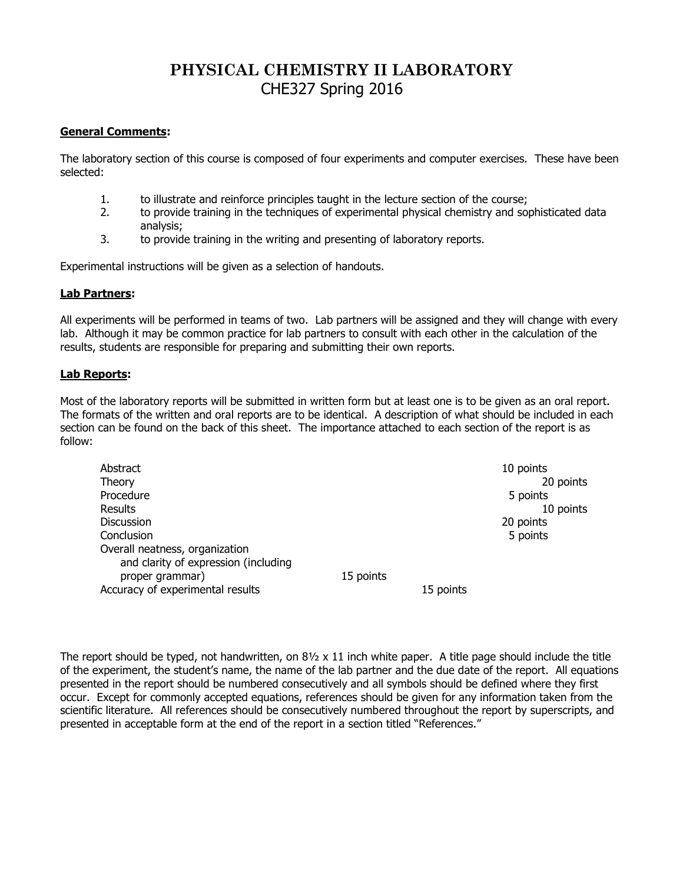## **PHYSICAL CHEMISTRY II LABORATORY** CHE327 Spring 2016

## **General Comments:**

The laboratory section of this course is composed of four experiments and computer exercises. These have been selected:

- 1. to illustrate and reinforce principles taught in the lecture section of the course;
- 2. to provide training in the techniques of experimental physical chemistry and sophisticated data analysis;
- 3. to provide training in the writing and presenting of laboratory reports.

Experimental instructions will be given as a selection of handouts.

## **Lab Partners:**

All experiments will be performed in teams of two. Lab partners will be assigned and they will change with every lab. Although it may be common practice for lab partners to consult with each other in the calculation of the results, students are responsible for preparing and submitting their own reports.

## **Lab Reports:**

Most of the laboratory reports will be submitted in written form but at least one is to be given as an oral report. The formats of the written and oral reports are to be identical. A description of what should be included in each section can be found on the back of this sheet. The importance attached to each section of the report is as follow:

| Abstract<br>Theory<br>Procedure<br>Results                             |           |           | 10 points<br>20 points<br>5 points<br>10 points |
|------------------------------------------------------------------------|-----------|-----------|-------------------------------------------------|
| Discussion                                                             |           |           | 20 points                                       |
| Conclusion                                                             |           |           | 5 points                                        |
| Overall neatness, organization<br>and clarity of expression (including |           |           |                                                 |
| proper grammar)                                                        | 15 points |           |                                                 |
| Accuracy of experimental results                                       |           | 15 points |                                                 |

The report should be typed, not handwritten, on  $8\frac{1}{2} \times 11$  inch white paper. A title page should include the title of the experiment, the student's name, the name of the lab partner and the due date of the report. All equations presented in the report should be numbered consecutively and all symbols should be defined where they first occur. Except for commonly accepted equations, references should be given for any information taken from the scientific literature. All references should be consecutively numbered throughout the report by superscripts, and presented in acceptable form at the end of the report in a section titled "References."